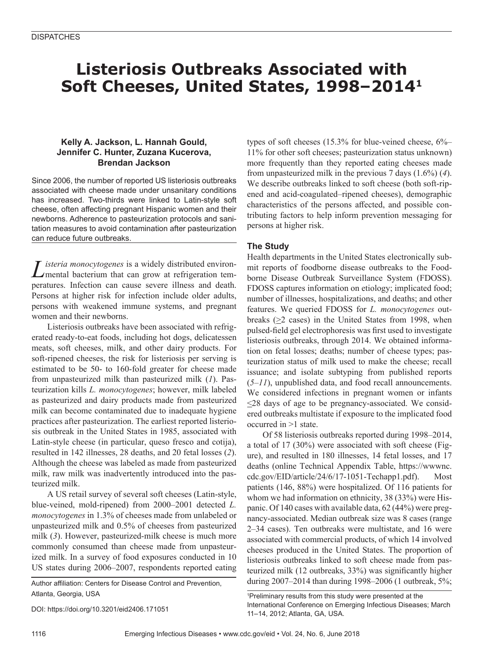## **Listeriosis Outbreaks Associated with Soft Cheeses, United States, 1998–20141**

#### **Kelly A. Jackson, L. Hannah Gould, Jennifer C. Hunter, Zuzana Kucerova, Brendan Jackson**

Since 2006, the number of reported US listeriosis outbreaks associated with cheese made under unsanitary conditions has increased. Two-thirds were linked to Latin-style soft cheese, often affecting pregnant Hispanic women and their newborns. Adherence to pasteurization protocols and sanitation measures to avoid contamination after pasteurization can reduce future outbreaks.

*Listeria monocytogenes* is a widely distributed environ-<br>
mental bacterium that can grow at refrigeration temperatures. Infection can cause severe illness and death. Persons at higher risk for infection include older adults, persons with weakened immune systems, and pregnant women and their newborns.

Listeriosis outbreaks have been associated with refrigerated ready-to-eat foods, including hot dogs, delicatessen meats, soft cheeses, milk, and other dairy products. For soft-ripened cheeses, the risk for listeriosis per serving is estimated to be 50- to 160-fold greater for cheese made from unpasteurized milk than pasteurized milk (*1*). Pasteurization kills *L. monocytogenes*; however, milk labeled as pasteurized and dairy products made from pasteurized milk can become contaminated due to inadequate hygiene practices after pasteurization. The earliest reported listeriosis outbreak in the United States in 1985, associated with Latin-style cheese (in particular, queso fresco and cotija), resulted in 142 illnesses, 28 deaths, and 20 fetal losses (*2*). Although the cheese was labeled as made from pasteurized milk, raw milk was inadvertently introduced into the pasteurized milk.

A US retail survey of several soft cheeses (Latin-style, blue-veined, mold-ripened) from 2000–2001 detected *L. monocytogenes* in 1.3% of cheeses made from unlabeled or unpasteurized milk and 0.5% of cheeses from pasteurized milk (*3*). However, pasteurized-milk cheese is much more commonly consumed than cheese made from unpasteurized milk. In a survey of food exposures conducted in 10 US states during 2006–2007, respondents reported eating

Author affiliation: Centers for Disease Control and Prevention, Atlanta, Georgia, USA

DOI: https://doi.org/10.3201/eid2406.171051

types of soft cheeses (15.3% for blue-veined cheese,  $6\%$ – 11% for other soft cheeses; pasteurization status unknown) more frequently than they reported eating cheeses made from unpasteurized milk in the previous 7 days (1.6%) (*4*). We describe outbreaks linked to soft cheese (both soft-ripened and acid-coagulated–ripened cheeses), demographic characteristics of the persons affected, and possible contributing factors to help inform prevention messaging for persons at higher risk.

#### **The Study**

Health departments in the United States electronically submit reports of foodborne disease outbreaks to the Foodborne Disease Outbreak Surveillance System (FDOSS). FDOSS captures information on etiology; implicated food; number of illnesses, hospitalizations, and deaths; and other features. We queried FDOSS for *L. monocytogenes* outbreaks (>2 cases) in the United States from 1998, when pulsed-field gel electrophoresis was first used to investigate listeriosis outbreaks, through 2014. We obtained information on fetal losses; deaths; number of cheese types; pasteurization status of milk used to make the cheese; recall issuance; and isolate subtyping from published reports (*5*–*11*), unpublished data, and food recall announcements. We considered infections in pregnant women or infants <28 days of age to be pregnancy-associated. We considered outbreaks multistate if exposure to the implicated food occurred in >1 state.

Of 58 listeriosis outbreaks reported during 1998–2014, a total of 17 (30%) were associated with soft cheese (Figure), and resulted in 180 illnesses, 14 fetal losses, and 17 deaths (online Technical Appendix Table, https://wwwnc. cdc.gov/EID/article/24/6/17-1051-Techapp1.pdf). Most patients (146, 88%) were hospitalized. Of 116 patients for whom we had information on ethnicity, 38 (33%) were Hispanic. Of 140 cases with available data, 62 (44%) were pregnancy-associated. Median outbreak size was 8 cases (range 2–34 cases). Ten outbreaks were multistate, and 16 were associated with commercial products, of which 14 involved cheeses produced in the United States. The proportion of listeriosis outbreaks linked to soft cheese made from pasteurized milk (12 outbreaks, 33%) was significantly higher during 2007–2014 than during 1998–2006 (1 outbreak, 5%;

<sup>1</sup> Preliminary results from this study were presented at the International Conference on Emerging Infectious Diseases; March 11–14, 2012; Atlanta, GA, USA.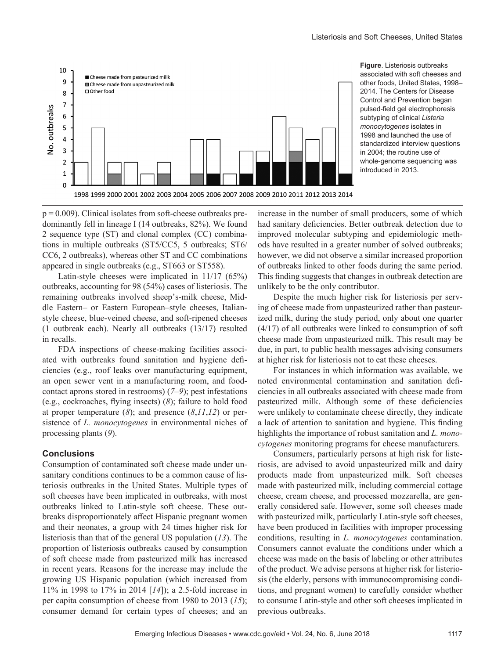

**Figure**. Listeriosis outbreaks associated with soft cheeses and other foods, United States, 1998– 2014. The Centers for Disease Control and Prevention began pulsed-field gel electrophoresis subtyping of clinical *Listeria monocytogenes* isolates in 1998 and launched the use of standardized interview questions in 2004; the routine use of whole-genome sequencing was introduced in 2013.

 $p = 0.009$ ). Clinical isolates from soft-cheese outbreaks predominantly fell in lineage I (14 outbreaks, 82%). We found 2 sequence type (ST) and clonal complex (CC) combinations in multiple outbreaks (ST5/CC5, 5 outbreaks; ST6/ CC6, 2 outbreaks), whereas other ST and CC combinations appeared in single outbreaks (e.g., ST663 or ST558).

Latin-style cheeses were implicated in 11/17 (65%) outbreaks, accounting for 98 (54%) cases of listeriosis. The remaining outbreaks involved sheep's-milk cheese, Middle Eastern– or Eastern European–style cheeses, Italianstyle cheese, blue-veined cheese, and soft-ripened cheeses (1 outbreak each). Nearly all outbreaks (13/17) resulted in recalls.

FDA inspections of cheese-making facilities associated with outbreaks found sanitation and hygiene deficiencies (e.g., roof leaks over manufacturing equipment, an open sewer vent in a manufacturing room, and foodcontact aprons stored in restrooms) (*7*–*9*); pest infestations (e.g., cockroaches, flying insects) (*8*); failure to hold food at proper temperature  $(8)$ ; and presence  $(8,11,12)$  or persistence of *L. monocytogenes* in environmental niches of processing plants (*9*).

#### **Conclusions**

Consumption of contaminated soft cheese made under unsanitary conditions continues to be a common cause of listeriosis outbreaks in the United States. Multiple types of soft cheeses have been implicated in outbreaks, with most outbreaks linked to Latin-style soft cheese. These outbreaks disproportionately affect Hispanic pregnant women and their neonates, a group with 24 times higher risk for listeriosis than that of the general US population (*13*). The proportion of listeriosis outbreaks caused by consumption of soft cheese made from pasteurized milk has increased in recent years. Reasons for the increase may include the growing US Hispanic population (which increased from 11% in 1998 to 17% in 2014 [*14*]); a 2.5-fold increase in per capita consumption of cheese from 1980 to 2013 (*15*); consumer demand for certain types of cheeses; and an

increase in the number of small producers, some of which had sanitary deficiencies. Better outbreak detection due to improved molecular subtyping and epidemiologic methods have resulted in a greater number of solved outbreaks; however, we did not observe a similar increased proportion of outbreaks linked to other foods during the same period. This finding suggests that changes in outbreak detection are unlikely to be the only contributor.

Despite the much higher risk for listeriosis per serving of cheese made from unpasteurized rather than pasteurized milk, during the study period, only about one quarter (4/17) of all outbreaks were linked to consumption of soft cheese made from unpasteurized milk. This result may be due, in part, to public health messages advising consumers at higher risk for listeriosis not to eat these cheeses.

For instances in which information was available, we noted environmental contamination and sanitation deficiencies in all outbreaks associated with cheese made from pasteurized milk. Although some of these deficiencies were unlikely to contaminate cheese directly, they indicate a lack of attention to sanitation and hygiene. This finding highlights the importance of robust sanitation and *L. monocytogenes* monitoring programs for cheese manufacturers.

Consumers, particularly persons at high risk for listeriosis, are advised to avoid unpasteurized milk and dairy products made from unpasteurized milk. Soft cheeses made with pasteurized milk, including commercial cottage cheese, cream cheese, and processed mozzarella, are generally considered safe. However, some soft cheeses made with pasteurized milk, particularly Latin-style soft cheeses, have been produced in facilities with improper processing conditions, resulting in *L. monocytogenes* contamination. Consumers cannot evaluate the conditions under which a cheese was made on the basis of labeling or other attributes of the product. We advise persons at higher risk for listeriosis (the elderly, persons with immunocompromising conditions, and pregnant women) to carefully consider whether to consume Latin-style and other soft cheeses implicated in previous outbreaks.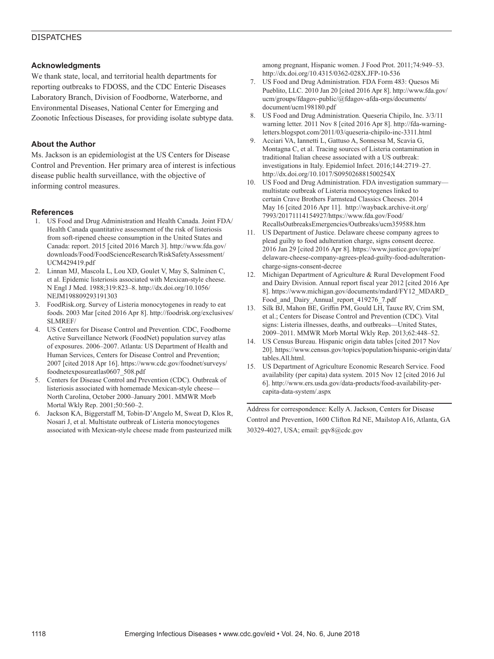#### DISPATCHES

#### **Acknowledgments**

We thank state, local, and territorial health departments for reporting outbreaks to FDOSS, and the CDC Enteric Diseases Laboratory Branch, Division of Foodborne, Waterborne, and Environmental Diseases, National Center for Emerging and Zoonotic Infectious Diseases, for providing isolate subtype data.

#### **About the Author**

Ms. Jackson is an epidemiologist at the US Centers for Disease Control and Prevention. Her primary area of interest is infectious disease public health surveillance, with the objective of informing control measures.

#### **References**

- 1. US Food and Drug Administration and Health Canada. Joint FDA/ Health Canada quantitative assessment of the risk of listeriosis from soft-ripened cheese consumption in the United States and Canada: report. 2015 [cited 2016 March 3]. http://www.fda.gov/ downloads/Food/FoodScienceResearch/RiskSafetyAssessment/ UCM429419.pdf
- 2. Linnan MJ, Mascola L, Lou XD, Goulet V, May S, Salminen C, et al. Epidemic listeriosis associated with Mexican-style cheese. N Engl J Med. 1988;319:823–8. http://dx.doi.org/10.1056/ NEJM198809293191303
- 3. FoodRisk.org. Survey of Listeria monocytogenes in ready to eat foods. 2003 Mar [cited 2016 Apr 8]. http://foodrisk.org/exclusives/ SLMREF/
- 4. US Centers for Disease Control and Prevention. CDC, Foodborne Active Surveillance Network (FoodNet) population survey atlas of exposures. 2006–2007. Atlanta: US Department of Health and Human Services, Centers for Disease Control and Prevention; 2007 [cited 2018 Apr 16]. https://www.cdc.gov/foodnet/surveys/ foodnetexposureatlas0607\_508.pdf
- 5. Centers for Disease Control and Prevention (CDC). Outbreak of listeriosis associated with homemade Mexican-style cheese— North Carolina, October 2000–January 2001. MMWR Morb Mortal Wkly Rep. 2001;50:560–2.
- 6. Jackson KA, Biggerstaff M, Tobin-D'Angelo M, Sweat D, Klos R, Nosari J, et al. Multistate outbreak of Listeria monocytogenes associated with Mexican-style cheese made from pasteurized milk

among pregnant, Hispanic women. J Food Prot. 2011;74:949–53. http://dx.doi.org/10.4315/0362-028X.JFP-10-536

- 7. US Food and Drug Administration. FDA Form 483: Quesos Mi Pueblito, LLC. 2010 Jan 20 [cited 2016 Apr 8]. http://www.fda.gov/ ucm/groups/fdagov-public/@fdagov-afda-orgs/documents/ document/ucm198180.pdf
- 8. US Food and Drug Administration. Queseria Chipilo, Inc. 3/3/11 warning letter. 2011 Nov 8 [cited 2016 Apr 8]. http://fda-warningletters.blogspot.com/2011/03/queseria-chipilo-inc-3311.html
- 9. Acciari VA, Iannetti L, Gattuso A, Sonnessa M, Scavia G, Montagna C, et al. Tracing sources of Listeria contamination in traditional Italian cheese associated with a US outbreak: investigations in Italy. Epidemiol Infect. 2016;144:2719–27. http://dx.doi.org/10.1017/S095026881500254X
- 10. US Food and Drug Administration. FDA investigation summary multistate outbreak of Listeria monocytogenes linked to certain Crave Brothers Farmstead Classics Cheeses. 2014 May 16 [cited 2016 Apr 11]. http://wayback.archive-it.org/ 7993/20171114154927/https://www.fda.gov/Food/ RecallsOutbreaksEmergencies/Outbreaks/ucm359588.htm
- 11. US Department of Justice. Delaware cheese company agrees to plead guilty to food adulteration charge, signs consent decree. 2016 Jan 29 [cited 2016 Apr 8]. https://www.justice.gov/opa/pr/ delaware-cheese-company-agrees-plead-guilty-food-adulterationcharge-signs-consent-decree
- 12. Michigan Department of Agriculture & Rural Development Food and Dairy Division. Annual report fiscal year 2012 [cited 2016 Apr 8]. https://www.michigan.gov/documents/mdard/FY12\_MDARD\_ Food and Dairy Annual report 419276 7.pdf
- 13. Silk BJ, Mahon BE, Griffin PM, Gould LH, Tauxe RV, Crim SM, et al.; Centers for Disease Control and Prevention (CDC). Vital signs: Listeria illnesses, deaths, and outbreaks—United States, 2009–2011. MMWR Morb Mortal Wkly Rep. 2013;62:448–52.
- 14. US Census Bureau. Hispanic origin data tables [cited 2017 Nov 20]. https://www.census.gov/topics/population/hispanic-origin/data/ tables.All.html.
- 15. US Department of Agriculture Economic Research Service. Food availability (per capita) data system. 2015 Nov 12 [cited 2016 Jul 6]. http://www.ers.usda.gov/data-products/food-availability-percapita-data-system/.aspx

Address for correspondence: Kelly A. Jackson, Centers for Disease Control and Prevention, 1600 Clifton Rd NE, Mailstop A16, Atlanta, GA 30329-4027, USA; email: gqv8@cdc.gov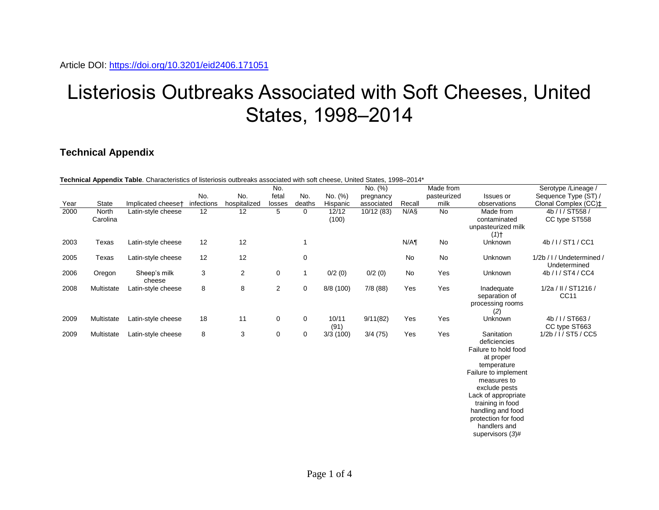# Listeriosis Outbreaks Associated with Soft Cheeses, United States, 1998–2014

### **Technical Appendix**

|      |                   |                        |            |                | No.            |          |                | No. (%)    |        | Made from   |                                                                                                                                        | Serotype / Lineage /                      |
|------|-------------------|------------------------|------------|----------------|----------------|----------|----------------|------------|--------|-------------|----------------------------------------------------------------------------------------------------------------------------------------|-------------------------------------------|
|      |                   |                        | No.        | No.            | fetal          | No.      | No. (%)        | pregnancy  |        | pasteurized | Issues or                                                                                                                              | Sequence Type (ST) /                      |
| Year | <b>State</b>      | Implicated cheeset     | infections | hospitalized   | losses         | deaths   | Hispanic       | associated | Recall | milk        | observations                                                                                                                           | Clonal Complex (CC)‡                      |
| 2000 | North<br>Carolina | Latin-style cheese     | 12         | 12             | 5              | $\Omega$ | 12/12<br>(100) | 10/12 (83) | N/AS   | <b>No</b>   | Made from<br>contaminated<br>unpasteurized milk<br>$(1)$ <sup>+</sup>                                                                  | 4b / I / ST558 /<br>CC type ST558         |
| 2003 | Texas             | Latin-style cheese     | 12         | 12             |                |          |                |            | N/A    | No          | Unknown                                                                                                                                | 4b / I / ST1 / CC1                        |
| 2005 | Texas             | Latin-style cheese     | 12         | 12             |                | 0        |                |            | No     | No          | Unknown                                                                                                                                | 1/2b / I / Undetermined /<br>Undetermined |
| 2006 | Oregon            | Sheep's milk<br>cheese | 3          | $\overline{2}$ | 0              |          | 0/2(0)         | 0/2(0)     | No     | Yes         | Unknown                                                                                                                                | 4b / I / ST4 / CC4                        |
| 2008 | Multistate        | Latin-style cheese     | 8          | 8              | $\overline{2}$ | 0        | 8/8 (100)      | 7/8(88)    | Yes    | Yes         | Inadequate<br>separation of<br>processing rooms<br>(2)                                                                                 | 1/2a / II / ST1216 /<br>CC11              |
| 2009 | Multistate        | Latin-style cheese     | 18         | 11             | 0              | 0        | 10/11<br>(91)  | 9/11(82)   | Yes    | Yes         | Unknown                                                                                                                                | 4b / I / ST663 /<br>CC type ST663         |
| 2009 | Multistate        | Latin-style cheese     | 8          | 3              | $\mathbf 0$    | 0        | 3/3(100)       | 3/4(75)    | Yes    | Yes         | Sanitation<br>deficiencies<br>Failure to hold food<br>at proper<br>temperature<br>Failure to implement<br>measures to<br>exclude pests | 1/2b / I / ST5 / CC5                      |

Lack of appropriate training in food handling and food protection for food handlers and supervisors (*3*)#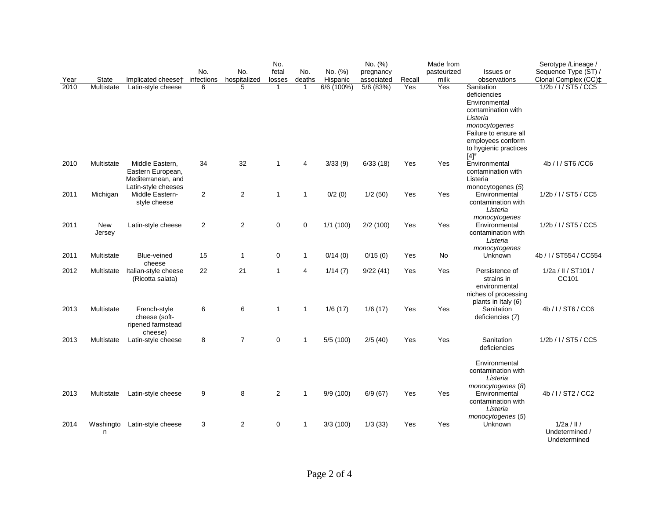|      |                      |                                                                                   | No.        | No.            | No.<br>fetal   | No.            | No. (%)   | No. (%)<br>pregnancy |        | Made from<br>pasteurized | <b>Issues or</b>                                                                                                                                                                   | Serotype /Lineage /<br>Sequence Type (ST) /     |
|------|----------------------|-----------------------------------------------------------------------------------|------------|----------------|----------------|----------------|-----------|----------------------|--------|--------------------------|------------------------------------------------------------------------------------------------------------------------------------------------------------------------------------|-------------------------------------------------|
| Year | <b>State</b>         | Implicated cheese†                                                                | infections | hospitalized   | losses         | deaths         | Hispanic  | associated           | Recall | milk                     | observations                                                                                                                                                                       | Clonal Complex (CC)‡                            |
| 2010 | Multistate           | Latin-style cheese                                                                | 6          | 5              |                |                | 6/6(100%) | 5/6(83%)             | Yes    | Yes                      | Sanitation<br>deficiencies<br>Environmental<br>contamination with<br>Listeria<br>monocytogenes<br>Failure to ensure all<br>employees conform<br>to hygienic practices<br>$[4]^{#}$ | 1/2b / I / ST5 / CC5                            |
| 2010 | Multistate           | Middle Eastern,<br>Eastern European,<br>Mediterranean, and<br>Latin-style cheeses | 34         | 32             | $\mathbf{1}$   | $\overline{4}$ | 3/33(9)   | 6/33(18)             | Yes    | Yes                      | Environmental<br>contamination with<br>Listeria<br>monocytogenes (5)                                                                                                               | 4b / I / ST6 / CC6                              |
| 2011 | Michigan             | Middle Eastern-<br>style cheese                                                   | 2          | $\overline{2}$ | $\mathbf{1}$   | $\overline{1}$ | 0/2(0)    | 1/2(50)              | Yes    | Yes                      | Environmental<br>contamination with<br>Listeria<br>monocytogenes                                                                                                                   | 1/2b / I / ST5 / CC5                            |
| 2011 | <b>New</b><br>Jersey | Latin-style cheese                                                                | 2          | $\mathbf{2}$   | $\mathbf 0$    | $\mathbf 0$    | 1/1(100)  | 2/2(100)             | Yes    | Yes                      | Environmental<br>contamination with<br>Listeria<br>monocytogenes                                                                                                                   | 1/2b / I / ST5 / CC5                            |
| 2011 | Multistate           | <b>Blue-veined</b><br>cheese                                                      | 15         | $\mathbf{1}$   | $\mathbf 0$    | $\overline{1}$ | 0/14(0)   | 0/15(0)              | Yes    | No                       | Unknown                                                                                                                                                                            | 4b / I / ST554 / CC554                          |
| 2012 | Multistate           | Italian-style cheese<br>(Ricotta salata)                                          | 22         | 21             | $\mathbf{1}$   | 4              | 1/14(7)   | 9/22(41)             | Yes    | Yes                      | Persistence of<br>strains in<br>environmental<br>niches of processing<br>plants in Italy (6)                                                                                       | 1/2a / II / ST101 /<br>CC101                    |
| 2013 | Multistate           | French-style<br>cheese (soft-<br>ripened farmstead<br>cheese)                     | 6          | 6              | $\mathbf{1}$   | $\mathbf{1}$   | 1/6(17)   | 1/6(17)              | Yes    | Yes                      | Sanitation<br>deficiencies (7)                                                                                                                                                     | 4b / I / ST6 / CC6                              |
| 2013 | Multistate           | Latin-style cheese                                                                | 8          | $\overline{7}$ | $\Omega$       | -1             | 5/5(100)  | 2/5(40)              | Yes    | Yes                      | Sanitation<br>deficiencies                                                                                                                                                         | 1/2b / I / ST5 / CC5                            |
|      |                      |                                                                                   |            |                |                |                |           |                      |        |                          | Environmental<br>contamination with<br>Listeria                                                                                                                                    |                                                 |
| 2013 | Multistate           | Latin-style cheese                                                                | 9          | 8              | $\overline{2}$ | 1              | 9/9 (100) | 6/9(67)              | Yes    | Yes                      | monocytogenes (8)<br>Environmental<br>contamination with<br>Listeria<br>monocytogenes (5)                                                                                          | 4b / I / ST2 / CC2                              |
| 2014 | Washingto<br>n       | Latin-style cheese                                                                | 3          | 2              | $\mathbf 0$    | $\mathbf{1}$   | 3/3(100)  | 1/3(33)              | Yes    | Yes                      | Unknown                                                                                                                                                                            | $1/2a$ / II /<br>Undetermined /<br>Undetermined |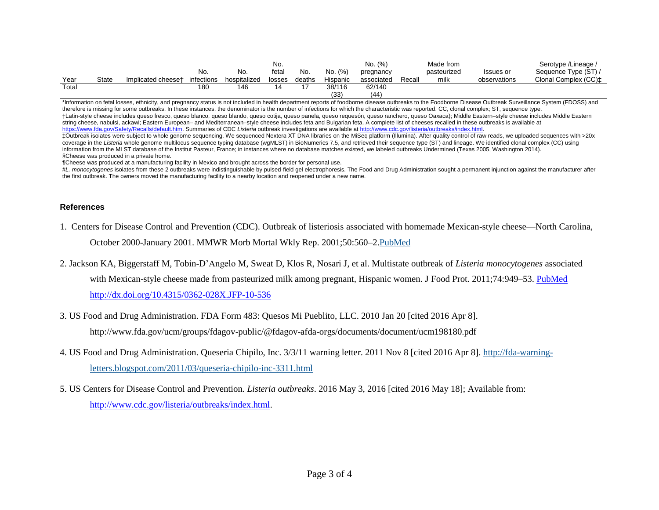|       |       |                    |            |              | No.    |        |          | No. (%)    |        | Made from   |              | Serotype /Lineage    |
|-------|-------|--------------------|------------|--------------|--------|--------|----------|------------|--------|-------------|--------------|----------------------|
|       |       |                    | No.        | No.          | fetal  | No.    | No. (%)  | pregnancy  |        | pasteurized | Issues or    | Sequence Type (ST)   |
| Year  | State | Implicated cheese+ | infections | hospitalized | losses | deaths | Hispanic | associated | Recall | milk        | observations | Clonal Complex (CC)± |
| Total |       |                    | 180        | 146          |        |        | 38/116   | 62/140     |        |             |              |                      |
|       |       |                    |            |              |        |        | (33)     | (44)       |        |             |              |                      |

\*Information on fetal losses, ethnicity, and pregnancy status is not included in health department reports of foodborne disease outbreaks to the Foodborne Disease Outbreak Surveillance System (FDOSS) and therefore is missing for some outbreaks. In these instances, the denominator is the number of infections for which the characteristic was reported. CC, clonal complex; ST, sequence type. †Latin-style cheese includes queso fresco, queso blanco, queso blando, queso cotija, queso panela, queso requesón, queso ranchero, queso Oaxaca); Middle Eastern–style cheese includes Middle Eastern string cheese, nabulsi, ackawi; Eastern European– and Mediterranean–style cheese includes feta and Bulgarian feta. A complete list of cheeses recalled in these outbreaks is available at [https://www.fda.gov/Safety/Recalls/default.htm.](https://www.fda.gov/Safety/Recalls/default.htm) Summaries of CDC *Listeria* outbreak investigations are available at [http://www.cdc.gov/listeria/outbreaks/index.html.](http://www.cdc.gov/listeria/outbreaks/index.html)

‡Outbreak isolates were subject to whole genome sequencing. We sequenced Nextera XT DNA libraries on the MiSeq platform (Illumina). After quality control of raw reads, we uploaded sequences with >20x coverage in the *Listeria* whole genome multilocus sequence typing database (wgMLST) in BioNumerics 7.5, and retrieved their sequence type (ST) and lineage. We identified clonal complex (CC) using information from the MLST database of the Institut Pasteur, France; in instances where no database matches existed, we labeled outbreaks Undermined (Texas 2005, Washington 2014). §Cheese was produced in a private home.

¶Cheese was produced at a manufacturing facility in Mexico and brought across the border for personal use.

#L. monocytogenes isolates from these 2 outbreaks were indistinguishable by pulsed-field gel electrophoresis. The Food and Drug Administration sought a permanent injunction against the manufacturer after the first outbreak. The owners moved the manufacturing facility to a nearby location and reopened under a new name.

#### **References**

- 1. Centers for Disease Control and Prevention (CDC). Outbreak of listeriosis associated with homemade Mexican-style cheese—North Carolina, October 2000-January 2001. MMWR Morb Mortal Wkly Rep. 2001;50:560–2[.PubMed](http://www.ncbi.nlm.nih.gov/sites/entrez?cmd=Retrieve&db=PubMed&list_uids=11456331&dopt=Abstract)
- 2. Jackson KA, Biggerstaff M, Tobin-D'Angelo M, Sweat D, Klos R, Nosari J, et al. Multistate outbreak of *Listeria monocytogenes* associated with Mexican-style cheese made from pasteurized milk among pregnant, Hispanic women. J Food Prot. 2011;74:949–53. [PubMed](https://www.ncbi.nlm.nih.gov/entrez/query.fcgi?cmd=Retrieve&db=PubMed&list_uids=21669072&dopt=Abstract)

<http://dx.doi.org/10.4315/0362-028X.JFP-10-536>

3. US Food and Drug Administration. FDA Form 483: Quesos Mi Pueblito, LLC. 2010 Jan 20 [cited 2016 Apr 8].

http://www.fda.gov/ucm/groups/fdagov-public/@fdagov-afda-orgs/documents/document/ucm198180.pdf

- 4. US Food and Drug Administration. Queseria Chipilo, Inc. 3/3/11 warning letter. 2011 Nov 8 [cited 2016 Apr 8]. [http://fda-warning](http://fda-warning-letters.blogspot.com/2011/03/queseria-chipilo-inc-3311.html)[letters.blogspot.com/2011/03/queseria-chipilo-inc-3311.html](http://fda-warning-letters.blogspot.com/2011/03/queseria-chipilo-inc-3311.html)
- 5. US Centers for Disease Control and Prevention. *Listeria outbreaks*. 2016 May 3, 2016 [cited 2016 May 18]; Available from: [http://www.cdc.gov/listeria/outbreaks/index.html.](http://www.cdc.gov/listeria/outbreaks/index.html)